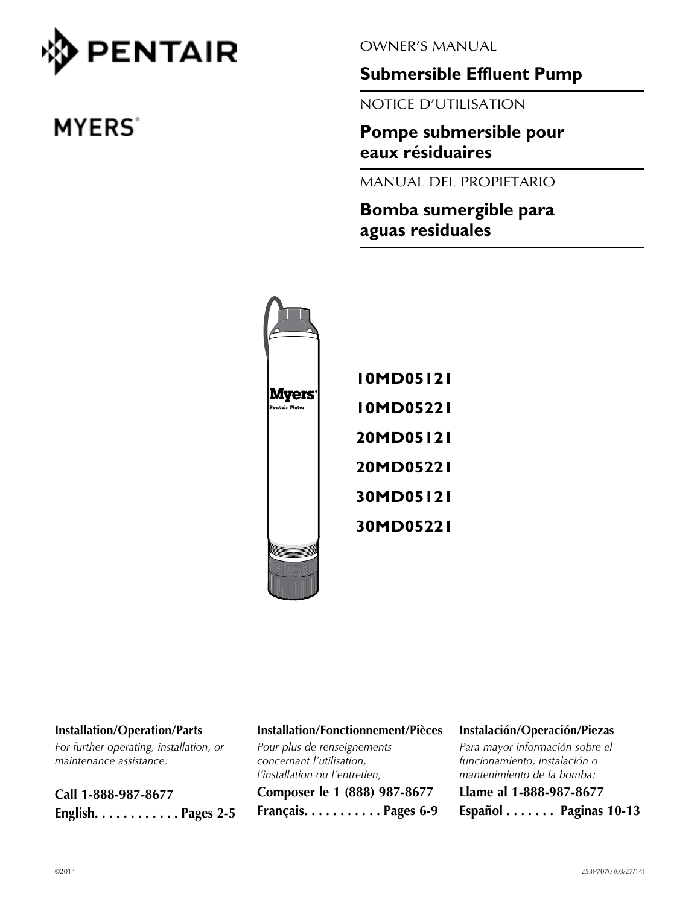

# **MYERS**<sup>\*</sup>

OWNER'S MANUAL

**Submersible Effluent Pump**

NOTICE D'UTILISATION

**Pompe submersible pour eaux résiduaires** 

MANUAL DEL PROPIETARIO

**Bomba sumergible para aguas residuales**



#### **Installation/Operation/Parts**

*For further operating, installation, or maintenance assistance:*

**Call 1-888-987-8677 English . . . . . . . . . . . Pages 2-5**

#### **Installation/Fonctionnement/Pièces**

*Pour plus de renseignements concernant l'utilisation, l'installation ou l'entretien,*

**Composer le 1 (888) 987-8677 Français . . . . . . . . . . Pages 6-9**

#### **Instalación/Operación/Piezas**

*Para mayor información sobre el funcionamiento, instalación o mantenimiento de la bomba:*

**Llame al 1-888-987-8677 Español . . . . . . . Paginas 10-13**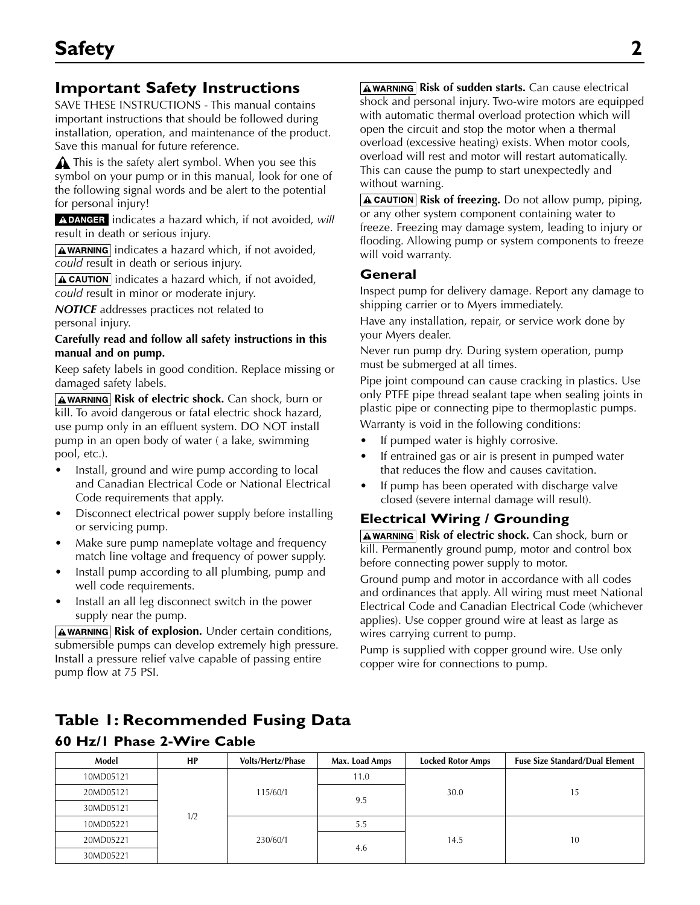### **Important Safety Instructions**

SAVE THESE INSTRUCTIONS - This manual contains important instructions that should be followed during installation, operation, and maintenance of the product. Save this manual for future reference.

 $\triangle$  This is the safety alert symbol. When you see this symbol on your pump or in this manual, look for one of the following signal words and be alert to the potential for personal injury!

**A DANGER** indicates a hazard which, if not avoided, will result in death or serious injury.

 $\sqrt{\text{A}$  WARNING indicates a hazard which, if not avoided, *could* result in death or serious injury.

 $\Delta$  CAUTION indicates a hazard which, if not avoided, *could* result in minor or moderate injury.

*NOTICE* addresses practices not related to personal injury.

#### **Carefully read and follow all safety instructions in this manual and on pump.**

Keep safety labels in good condition. Replace missing or damaged safety labels.

**AWARNING Risk of electric shock.** Can shock, burn or kill. To avoid dangerous or fatal electric shock hazard, use pump only in an effluent system. DO NOT install pump in an open body of water ( a lake, swimming pool, etc.).

- Install, ground and wire pump according to local and Canadian Electrical Code or National Electrical Code requirements that apply.
- Disconnect electrical power supply before installing or servicing pump.
- Make sure pump nameplate voltage and frequency match line voltage and frequency of power supply.
- Install pump according to all plumbing, pump and well code requirements.
- Install an all leg disconnect switch in the power supply near the pump.

**AWARNING Risk of explosion.** Under certain conditions, submersible pumps can develop extremely high pressure. Install a pressure relief valve capable of passing entire pump flow at 75 PSI.

**AWARNING Risk of sudden starts.** Can cause electrical shock and personal injury. Two-wire motors are equipped with automatic thermal overload protection which will open the circuit and stop the motor when a thermal overload (excessive heating) exists. When motor cools, overload will rest and motor will restart automatically. This can cause the pump to start unexpectedly and without warning.

**A CAUTION** Risk of freezing. Do not allow pump, piping, or any other system component containing water to freeze. Freezing may damage system, leading to injury or flooding. Allowing pump or system components to freeze will void warranty.

#### **General**

Inspect pump for delivery damage. Report any damage to shipping carrier or to Myers immediately.

Have any installation, repair, or service work done by your Myers dealer.

Never run pump dry. During system operation, pump must be submerged at all times.

Pipe joint compound can cause cracking in plastics. Use only PTFE pipe thread sealant tape when sealing joints in plastic pipe or connecting pipe to thermoplastic pumps. Warranty is void in the following conditions:

- If pumped water is highly corrosive.
- If entrained gas or air is present in pumped water that reduces the flow and causes cavitation.
- If pump has been operated with discharge valve closed (severe internal damage will result).

### **Electrical Wiring / Grounding**

**AWARNING Risk of electric shock.** Can shock, burn or kill. Permanently ground pump, motor and control box before connecting power supply to motor.

Ground pump and motor in accordance with all codes and ordinances that apply. All wiring must meet National Electrical Code and Canadian Electrical Code (whichever applies). Use copper ground wire at least as large as wires carrying current to pump.

Pump is supplied with copper ground wire. Use only copper wire for connections to pump.

## **Table 1: Recommended Fusing Data**

| Model     | HP  | <b>Volts/Hertz/Phase</b> | Max. Load Amps | <b>Locked Rotor Amps</b> | <b>Fuse Size Standard/Dual Element</b> |  |
|-----------|-----|--------------------------|----------------|--------------------------|----------------------------------------|--|
| 10MD05121 |     | 115/60/1<br>230/60/1     | 11.0           | 30.0                     | 15                                     |  |
| 20MD05121 |     |                          | 9.5            |                          |                                        |  |
| 30MD05121 | 1/2 |                          |                |                          |                                        |  |
| 10MD05221 |     |                          | 5.5<br>4.6     |                          |                                        |  |
| 20MD05221 |     |                          |                | 14.5                     | 10                                     |  |
| 30MD05221 |     |                          |                |                          |                                        |  |

#### **60 Hz/1 Phase 2-Wire Cable**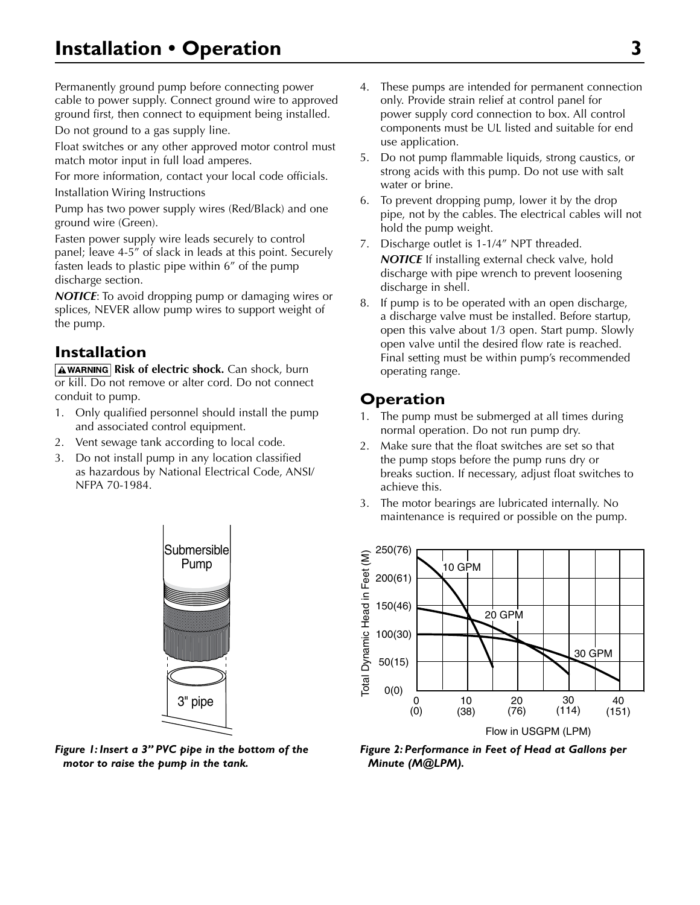Permanently ground pump before connecting power cable to power supply. Connect ground wire to approved ground first, then connect to equipment being installed.

Do not ground to a gas supply line.

Float switches or any other approved motor control must match motor input in full load amperes.

For more information, contact your local code officials. Installation Wiring Instructions

Pump has two power supply wires (Red/Black) and one ground wire (Green).

Fasten power supply wire leads securely to control panel; leave 4-5" of slack in leads at this point. Securely fasten leads to plastic pipe within 6" of the pump discharge section.

*NOTICE*: To avoid dropping pump or damaging wires or splices, NEVER allow pump wires to support weight of the pump.

### **Installation**

**AWARNING Risk of electric shock.** Can shock, burn or kill. Do not remove or alter cord. Do not connect conduit to pump.

- 1. Only qualified personnel should install the pump and associated control equipment.
- 2. Vent sewage tank according to local code.
- 3. Do not install pump in any location classified as hazardous by National Electrical Code, ANSI/ NFPA 70-1984.



*Figure 1: Insert a 3" PVC pipe in the bottom of the motor to raise the pump in the tank.*

- 4. These pumps are intended for permanent connection only. Provide strain relief at control panel for power supply cord connection to box. All control components must be UL listed and suitable for end use application.
- 5. Do not pump flammable liquids, strong caustics, or strong acids with this pump. Do not use with salt water or brine.
- 6. To prevent dropping pump, lower it by the drop pipe, not by the cables. The electrical cables will not hold the pump weight.
- 7. Discharge outlet is 1-1/4" NPT threaded. *NOTICE* If installing external check valve, hold discharge with pipe wrench to prevent loosening discharge in shell.
- 8. If pump is to be operated with an open discharge, a discharge valve must be installed. Before startup, open this valve about 1/3 open. Start pump. Slowly open valve until the desired flow rate is reached. Final setting must be within pump's recommended operating range.

### **Operation**

- 1. The pump must be submerged at all times during normal operation. Do not run pump dry.
- 2. Make sure that the float switches are set so that the pump stops before the pump runs dry or breaks suction. If necessary, adjust float switches to achieve this.
- 3. The motor bearings are lubricated internally. No maintenance is required or possible on the pump.



4132 0202 *Figure 2: Performance in Feet of Head at Gallons per Minute (M@LPM).*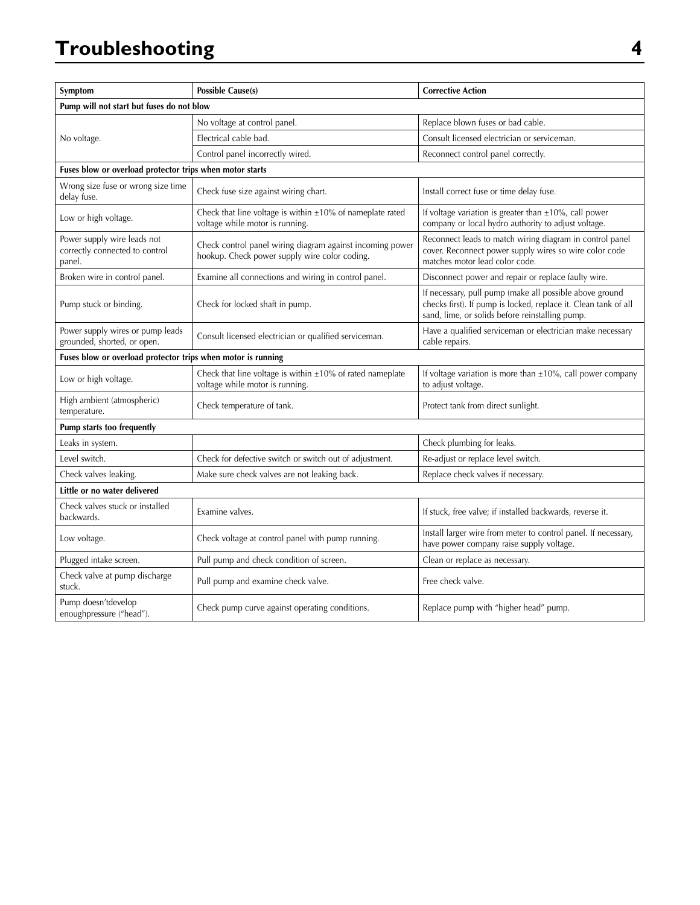## **Troubleshooting 4**

| Symptom                                                                 | <b>Possible Cause(s)</b>                                                                                   | <b>Corrective Action</b>                                                                                                                                                      |  |  |
|-------------------------------------------------------------------------|------------------------------------------------------------------------------------------------------------|-------------------------------------------------------------------------------------------------------------------------------------------------------------------------------|--|--|
|                                                                         | Pump will not start but fuses do not blow                                                                  |                                                                                                                                                                               |  |  |
|                                                                         | No voltage at control panel.                                                                               | Replace blown fuses or bad cable.                                                                                                                                             |  |  |
| No voltage.                                                             | Electrical cable bad.                                                                                      | Consult licensed electrician or serviceman.                                                                                                                                   |  |  |
|                                                                         | Control panel incorrectly wired.                                                                           | Reconnect control panel correctly.                                                                                                                                            |  |  |
| Fuses blow or overload protector trips when motor starts                |                                                                                                            |                                                                                                                                                                               |  |  |
| Wrong size fuse or wrong size time<br>delay fuse.                       | Check fuse size against wiring chart.                                                                      | Install correct fuse or time delay fuse.                                                                                                                                      |  |  |
| Low or high voltage.                                                    | Check that line voltage is within $\pm 10\%$ of nameplate rated<br>voltage while motor is running.         | If voltage variation is greater than $\pm 10$ %, call power<br>company or local hydro authority to adjust voltage.                                                            |  |  |
| Power supply wire leads not<br>correctly connected to control<br>panel. | Check control panel wiring diagram against incoming power<br>hookup. Check power supply wire color coding. | Reconnect leads to match wiring diagram in control panel<br>cover. Reconnect power supply wires so wire color code<br>matches motor lead color code.                          |  |  |
| Broken wire in control panel.                                           | Examine all connections and wiring in control panel.                                                       | Disconnect power and repair or replace faulty wire.                                                                                                                           |  |  |
| Pump stuck or binding.                                                  | Check for locked shaft in pump.                                                                            | If necessary, pull pump (make all possible above ground<br>checks first). If pump is locked, replace it. Clean tank of all<br>sand, lime, or solids before reinstalling pump. |  |  |
| Power supply wires or pump leads<br>grounded, shorted, or open.         | Consult licensed electrician or qualified serviceman.                                                      | Have a qualified serviceman or electrician make necessary<br>cable repairs.                                                                                                   |  |  |
| Fuses blow or overload protector trips when motor is running            |                                                                                                            |                                                                                                                                                                               |  |  |
| Low or high voltage.                                                    | Check that line voltage is within $\pm 10\%$ of rated nameplate<br>voltage while motor is running.         | If voltage variation is more than $\pm 10$ %, call power company<br>to adjust voltage.                                                                                        |  |  |
| High ambient (atmospheric)<br>temperature.                              | Check temperature of tank.                                                                                 | Protect tank from direct sunlight.                                                                                                                                            |  |  |
| Pump starts too frequently                                              |                                                                                                            |                                                                                                                                                                               |  |  |
| Leaks in system.                                                        |                                                                                                            | Check plumbing for leaks.                                                                                                                                                     |  |  |
| Level switch.                                                           | Check for defective switch or switch out of adjustment.                                                    | Re-adjust or replace level switch.                                                                                                                                            |  |  |
| Check valves leaking.                                                   | Make sure check valves are not leaking back.                                                               | Replace check valves if necessary.                                                                                                                                            |  |  |
| Little or no water delivered                                            |                                                                                                            |                                                                                                                                                                               |  |  |
| Check valves stuck or installed<br>backwards.                           | Examine valves.                                                                                            | If stuck, free valve; if installed backwards, reverse it.                                                                                                                     |  |  |
| Low voltage.                                                            | Check voltage at control panel with pump running.                                                          | Install larger wire from meter to control panel. If necessary,<br>have power company raise supply voltage.                                                                    |  |  |
| Plugged intake screen.                                                  | Pull pump and check condition of screen.                                                                   | Clean or replace as necessary.                                                                                                                                                |  |  |
| Check valve at pump discharge<br>stuck.                                 | Pull pump and examine check valve.                                                                         | Free check valve.                                                                                                                                                             |  |  |
| Pump doesn'tdevelop<br>enoughpressure ("head").                         | Check pump curve against operating conditions.                                                             | Replace pump with "higher head" pump.                                                                                                                                         |  |  |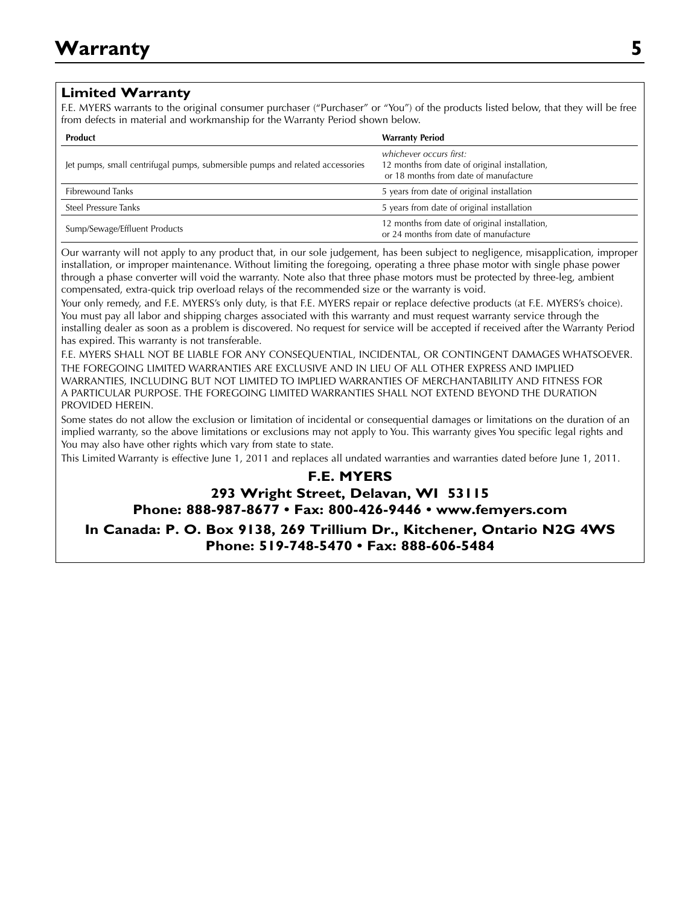#### **Limited Warranty**

F.E. MYERS warrants to the original consumer purchaser ("Purchaser" or "You") of the products listed below, that they will be free from defects in material and workmanship for the Warranty Period shown below.

| <b>Product</b>                                                                | <b>Warranty Period</b>                                                                                            |
|-------------------------------------------------------------------------------|-------------------------------------------------------------------------------------------------------------------|
| Jet pumps, small centrifugal pumps, submersible pumps and related accessories | whichever occurs first:<br>12 months from date of original installation,<br>or 18 months from date of manufacture |
| <b>Fibrewound Tanks</b>                                                       | 5 years from date of original installation                                                                        |
| Steel Pressure Tanks                                                          | 5 years from date of original installation                                                                        |
| Sump/Sewage/Effluent Products                                                 | 12 months from date of original installation,<br>or 24 months from date of manufacture                            |

Our warranty will not apply to any product that, in our sole judgement, has been subject to negligence, misapplication, improper installation, or improper maintenance. Without limiting the foregoing, operating a three phase motor with single phase power through a phase converter will void the warranty. Note also that three phase motors must be protected by three-leg, ambient compensated, extra-quick trip overload relays of the recommended size or the warranty is void.

Your only remedy, and F.E. MYERS's only duty, is that F.E. MYERS repair or replace defective products (at F.E. MYERS's choice). You must pay all labor and shipping charges associated with this warranty and must request warranty service through the installing dealer as soon as a problem is discovered. No request for service will be accepted if received after the Warranty Period has expired. This warranty is not transferable.

F.E. MYERS SHALL NOT BE LIABLE FOR ANY CONSEQUENTIAL, INCIDENTAL, OR CONTINGENT DAMAGES WHATSOEVER. THE FOREGOING LIMITED WARRANTIES ARE EXCLUSIVE AND IN LIEU OF ALL OTHER EXPRESS AND IMPLIED WARRANTIES, INCLUDING BUT NOT LIMITED TO IMPLIED WARRANTIES OF MERCHANTABILITY AND FITNESS FOR A PARTICULAR PURPOSE. THE FOREGOING LIMITED WARRANTIES SHALL NOT EXTEND BEYOND THE DURATION PROVIDED HEREIN.

Some states do not allow the exclusion or limitation of incidental or consequential damages or limitations on the duration of an implied warranty, so the above limitations or exclusions may not apply to You. This warranty gives You specific legal rights and You may also have other rights which vary from state to state.

This Limited Warranty is effective June 1, 2011 and replaces all undated warranties and warranties dated before June 1, 2011.

#### **F.E. MYERS 293 Wright Street, Delavan, WI 53115 Phone: 888-987-8677 • Fax: 800-426-9446 • www.femyers.com**

**In Canada: P. O. Box 9138, 269 Trillium Dr., Kitchener, Ontario N2G 4WS Phone: 519-748-5470 • Fax: 888-606-5484**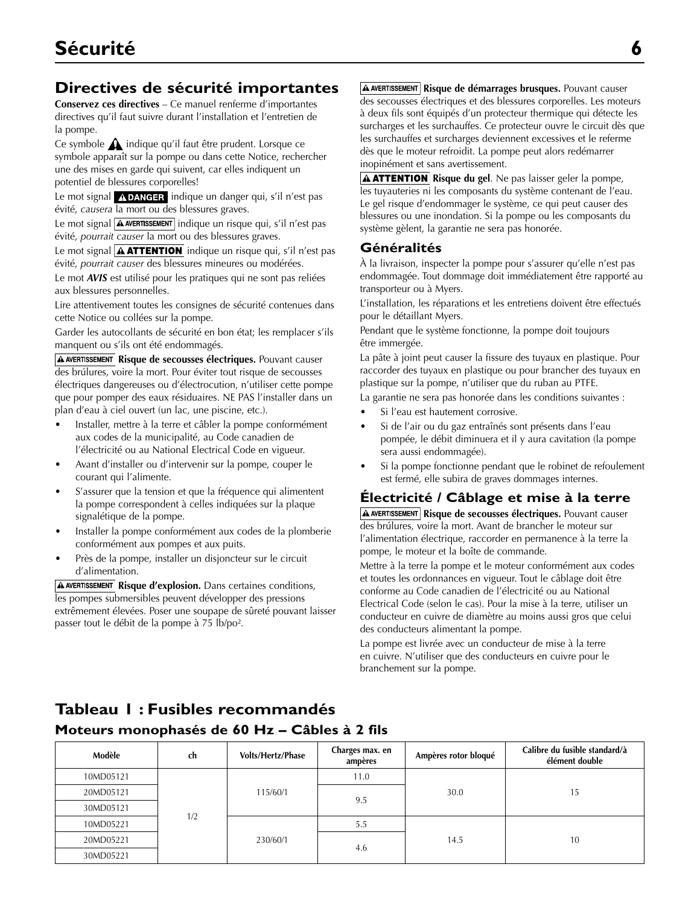### **Directives de sécurité importantes**

**Conservez ces directives** – Ce manuel renferme d'importantes directives qu'il faut suivre durant l'installation et l'entretien de la pompe.

Ce symbole  $\bigwedge$  indique qu'il faut être prudent. Lorsque ce symbole apparaît sur la pompe ou dans cette Notice, rechercher une des mises en garde qui suivent, car elles indiquent un potentiel de blessures corporelles!

Le mot signal  $\Lambda$  DANGER indique un danger qui, s'il n'est pas évité, *causera* la mort ou des blessures graves.

Le mot signal  $\boxed{\text{A}$  AVERTISSEMENT indique un risque qui, s'il n'est pas évité, *pourrait causer* la mort ou des blessures graves.

Le mot signal  $\boxed{\textbf{A}$  **ATTENTION** indique un risque qui, s'il n'est pas évité, *pourrait causer* des blessures mineures ou modérées.

Le mot *AVIS* est utilisé pour les pratiques qui ne sont pas reliées aux blessures personnelles.

Lire attentivement toutes les consignes de sécurité contenues dans cette Notice ou collées sur la pompe.

Garder les autocollants de sécurité en bon état; les remplacer s'ils manquent ou s'ils ont été endommagés.

**A AVERTISSEMENT Risque de secousses électriques.** Pouvant causer des brúlures, voire la mort. Pour éviter tout risque de secousses électriques dangereuses ou d'électrocution, n'utiliser cette pompe que pour pomper des eaux résiduaires. NE PAS l'installer dans un plan d'eau à ciel ouvert (un lac, une piscine, etc.).

- Installer, mettre à la terre et câbler la pompe conformément aux codes de la municipalité, au Code canadien de l'électricité ou au National Electrical Code en vigueur.
- Avant d'installer ou d'intervenir sur la pompe, couper le courant qui l'alimente.
- S'assurer que la tension et que la fréquence qui alimentent la pompe correspondent à celles indiquées sur la plaque signalétique de la pompe.
- Installer la pompe conformément aux codes de la plomberie conformément aux pompes et aux puits.
- Près de la pompe, installer un disjoncteur sur le circuit d'alimentation.

**A AVERTISSEMENT** Risque d'explosion. Dans certaines conditions, les pompes submersibles peuvent développer des pressions extrêmement élevées. Poser une soupape de sûreté pouvant laisser passer tout le débit de la pompe à 75 lb/po².

**A AVERTISSEMENT Risque de démarrages brusques.** Pouvant causer des secousses électriques et des blessures corporelles. Les moteurs à deux fils sont équipés d'un protecteur thermique qui détecte les surcharges et les surchauffes. Ce protecteur ouvre le circuit dès que les surchauffes et surcharges deviennent excessives et le referme dès que le moteur refroidit. La pompe peut alors redémarrer inopinément et sans avertissement.

**A ATTENTION** Risque du gel. Ne pas laisser geler la pompe, les tuyauteries ni les composants du système contenant de l'eau. Le gel risque d'endommager le système, ce qui peut causer des blessures ou une inondation. Si la pompe ou les composants du système gèlent, la garantie ne sera pas honorée.

#### **Généralités**

À la livraison, inspecter la pompe pour s'assurer qu'elle n'est pas endommagée. Tout dommage doit immédiatement être rapporté au transporteur ou à Myers.

L'installation, les réparations et les entretiens doivent être effectués pour le détaillant Myers.

Pendant que le système fonctionne, la pompe doit toujours être immergée.

La pâte à joint peut causer la fissure des tuyaux en plastique. Pour raccorder des tuyaux en plastique ou pour brancher des tuyaux en plastique sur la pompe, n'utiliser que du ruban au PTFE.

La garantie ne sera pas honorée dans les conditions suivantes :

- Si l'eau est hautement corrosive.
- Si de l'air ou du gaz entraînés sont présents dans l'eau pompée, le débit diminuera et il y aura cavitation (la pompe sera aussi endommagée).
- Si la pompe fonctionne pendant que le robinet de refoulement est fermé, elle subira de graves dommages internes.

#### **Électricité / Câblage et mise à la terre**

**A AVERTISSEMENT** Risque de secousses électriques. Pouvant causer des brúlures, voire la mort. Avant de brancher le moteur sur l'alimentation électrique, raccorder en permanence à la terre la pompe, le moteur et la boîte de commande.

Mettre à la terre la pompe et le moteur conformément aux codes et toutes les ordonnances en vigueur. Tout le câblage doit être conforme au Code canadien de l'électricité ou au National Electrical Code (selon le cas). Pour la mise à la terre, utiliser un conducteur en cuivre de diamètre au moins aussi gros que celui des conducteurs alimentant la pompe.

La pompe est livrée avec un conducteur de mise à la terre en cuivre. N'utiliser que des conducteurs en cuivre pour le branchement sur la pompe.

### **Tableau 1 : Fusibles recommandés**

#### **Moteurs monophasés de 60 Hz – Câbles à 2 fils**

| Modèle    | ch  | <b>Volts/Hertz/Phase</b> | Charges max. en<br>ampères | Ampères rotor bloqué | Calibre du fusible standard/à<br>élément double |    |
|-----------|-----|--------------------------|----------------------------|----------------------|-------------------------------------------------|----|
| 10MD05121 |     | 115/60/1<br>230/60/1     | 11.0                       |                      |                                                 |    |
| 20MD05121 |     |                          |                            | 9.5                  | 30.0                                            | 15 |
| 30MD05121 | 1/2 |                          |                            |                      |                                                 |    |
| 10MD05221 |     |                          | 5.5<br>4.6                 | 14.5                 | 10                                              |    |
| 20MD05221 |     |                          |                            |                      |                                                 |    |
| 30MD05221 |     |                          |                            |                      |                                                 |    |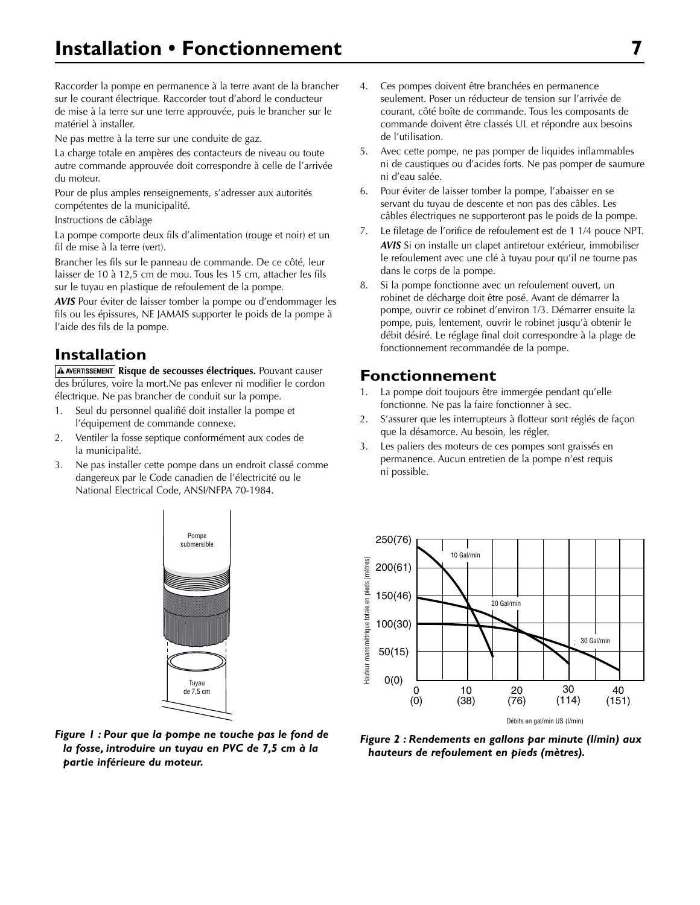Raccorder la pompe en permanence à la terre avant de la brancher sur le courant électrique. Raccorder tout d'abord le conducteur de mise à la terre sur une terre approuvée, puis le brancher sur le matériel à installer.

Ne pas mettre à la terre sur une conduite de gaz.

La charge totale en ampères des contacteurs de niveau ou toute autre commande approuvée doit correspondre à celle de l'arrivée du moteur.

Pour de plus amples renseignements, s'adresser aux autorités compétentes de la municipalité.

Instructions de câblage

La pompe comporte deux fils d'alimentation (rouge et noir) et un fil de mise à la terre (vert).

Brancher les fils sur le panneau de commande. De ce côté, leur laisser de 10 à 12,5 cm de mou. Tous les 15 cm, attacher les fils sur le tuyau en plastique de refoulement de la pompe.

*AVIS* Pour éviter de laisser tomber la pompe ou d'endommager les fils ou les épissures, NE JAMAIS supporter le poids de la pompe à l'aide des fils de la pompe.

### **Installation**

**A AVERTISSEMENT Risque de secousses électriques.** Pouvant causer des brúlures, voire la mort.Ne pas enlever ni modifier le cordon électrique. Ne pas brancher de conduit sur la pompe.

- 1. Seul du personnel qualifié doit installer la pompe et l'équipement de commande connexe.
- 2. Ventiler la fosse septique conformément aux codes de la municipalité.
- 3. Ne pas installer cette pompe dans un endroit classé comme dangereux par le Code canadien de l'électricité ou le National Electrical Code, ANSI/NFPA 70-1984.

Pompe submersible<br>

- 4. Ces pompes doivent être branchées en permanence seulement. Poser un réducteur de tension sur l'arrivée de courant, côté boîte de commande. Tous les composants de commande doivent être classés UL et répondre aux besoins de l'utilisation.
- 5. Avec cette pompe, ne pas pomper de liquides inflammables ni de caustiques ou d'acides forts. Ne pas pomper de saumure ni d'eau salée.
- 6. Pour éviter de laisser tomber la pompe, l'abaisser en se servant du tuyau de descente et non pas des câbles. Les câbles électriques ne supporteront pas le poids de la pompe.
- 7. Le filetage de l'orifice de refoulement est de 1 1/4 pouce NPT. *AVIS* Si on installe un clapet antiretour extérieur, immobiliser le refoulement avec une clé à tuyau pour qu'il ne tourne pas dans le corps de la pompe.
- 8. Si la pompe fonctionne avec un refoulement ouvert, un robinet de décharge doit être posé. Avant de démarrer la pompe, ouvrir ce robinet d'environ 1/3. Démarrer ensuite la pompe, puis, lentement, ouvrir le robinet jusqu'à obtenir le débit désiré. Le réglage final doit correspondre à la plage de fonctionnement recommandée de la pompe.

### **Fonctionnement**

- 1. La pompe doit toujours être immergée pendant qu'elle fonctionne. Ne pas la faire fonctionner à sec.
- 2. S'assurer que les interrupteurs à flotteur sont réglés de façon que la désamorce. Au besoin, les régler.
- 3. Les paliers des moteurs de ces pompes sont graissés en permanence. Aucun entretien de la pompe n'est requis ni possible.



4132 0202 *Figure 2 : Rendements en gallons par minute (l/min) aux* 

**Figure 1: Pour que la pompe ne touche pas le fond de** *la fosse, introduire un tuyau en PVC de 7,5 cm à la partie inférieure du moteur.*

Tuyau<br>de 7,5 cm

Tuyau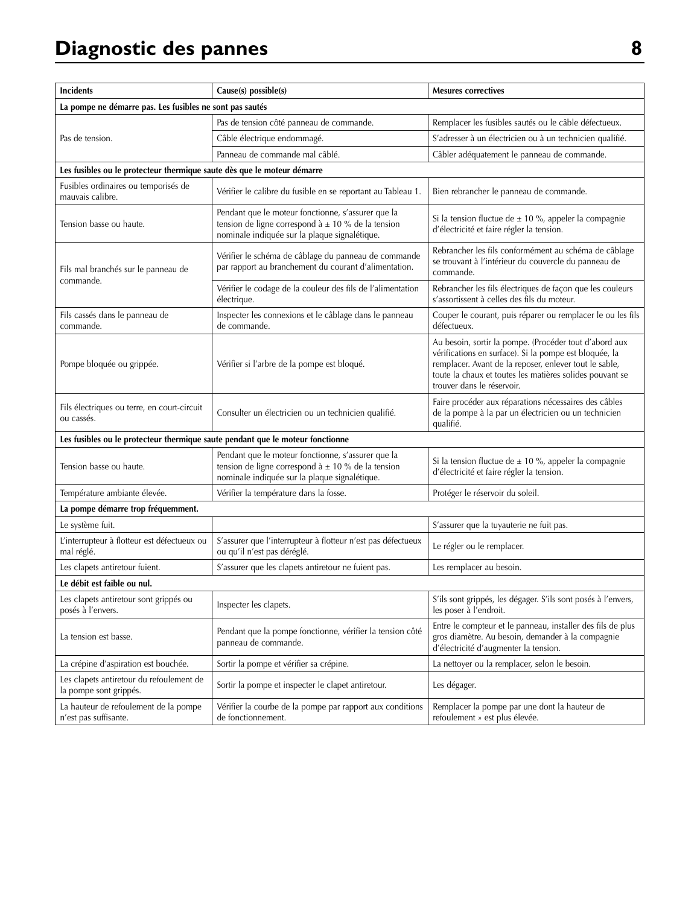| <b>Incidents</b>                                                               | Cause(s) possible(s)                                                                                                                                          | <b>Mesures correctives</b>                                                                                                                                                                                                                                           |  |  |
|--------------------------------------------------------------------------------|---------------------------------------------------------------------------------------------------------------------------------------------------------------|----------------------------------------------------------------------------------------------------------------------------------------------------------------------------------------------------------------------------------------------------------------------|--|--|
| La pompe ne démarre pas. Les fusibles ne sont pas sautés                       |                                                                                                                                                               |                                                                                                                                                                                                                                                                      |  |  |
|                                                                                | Pas de tension côté panneau de commande.                                                                                                                      | Remplacer les fusibles sautés ou le câble défectueux.                                                                                                                                                                                                                |  |  |
| Pas de tension.                                                                | Câble électrique endommagé.                                                                                                                                   | S'adresser à un électricien ou à un technicien qualifié.                                                                                                                                                                                                             |  |  |
|                                                                                | Panneau de commande mal câblé.                                                                                                                                | Câbler adéquatement le panneau de commande.                                                                                                                                                                                                                          |  |  |
| Les fusibles ou le protecteur thermique saute dès que le moteur démarre        |                                                                                                                                                               |                                                                                                                                                                                                                                                                      |  |  |
| Fusibles ordinaires ou temporisés de<br>mauvais calibre.                       | Vérifier le calibre du fusible en se reportant au Tableau 1.                                                                                                  | Bien rebrancher le panneau de commande.                                                                                                                                                                                                                              |  |  |
| Tension basse ou haute.                                                        | Pendant que le moteur fonctionne, s'assurer que la<br>tension de ligne correspond à $\pm$ 10 % de la tension<br>nominale indiquée sur la plaque signalétique. | Si la tension fluctue de $\pm$ 10 %, appeler la compagnie<br>d'électricité et faire régler la tension.                                                                                                                                                               |  |  |
| Fils mal branchés sur le panneau de<br>commande.                               | Vérifier le schéma de câblage du panneau de commande<br>par rapport au branchement du courant d'alimentation.                                                 | Rebrancher les fils conformément au schéma de câblage<br>se trouvant à l'intérieur du couvercle du panneau de<br>commande.                                                                                                                                           |  |  |
|                                                                                | Vérifier le codage de la couleur des fils de l'alimentation<br>électrique.                                                                                    | Rebrancher les fils électriques de façon que les couleurs<br>s'assortissent à celles des fils du moteur.                                                                                                                                                             |  |  |
| Fils cassés dans le panneau de<br>commande.                                    | Inspecter les connexions et le câblage dans le panneau<br>de commande.                                                                                        | Couper le courant, puis réparer ou remplacer le ou les fils<br>défectueux.                                                                                                                                                                                           |  |  |
| Pompe bloquée ou grippée.                                                      | Vérifier si l'arbre de la pompe est bloqué.                                                                                                                   | Au besoin, sortir la pompe. (Procéder tout d'abord aux<br>vérifications en surface). Si la pompe est bloquée, la<br>remplacer. Avant de la reposer, enlever tout le sable,<br>toute la chaux et toutes les matières solides pouvant se<br>trouver dans le réservoir. |  |  |
| Fils électriques ou terre, en court-circuit<br>ou cassés.                      | Consulter un électricien ou un technicien qualifié.                                                                                                           | Faire procéder aux réparations nécessaires des câbles<br>de la pompe à la par un électricien ou un technicien<br>qualifié.                                                                                                                                           |  |  |
| Les fusibles ou le protecteur thermique saute pendant que le moteur fonctionne |                                                                                                                                                               |                                                                                                                                                                                                                                                                      |  |  |
| Tension basse ou haute.                                                        | Pendant que le moteur fonctionne, s'assurer que la<br>tension de ligne correspond à $\pm$ 10 % de la tension<br>nominale indiquée sur la plaque signalétique. | Si la tension fluctue de $\pm$ 10 %, appeler la compagnie<br>d'électricité et faire régler la tension.                                                                                                                                                               |  |  |
| Température ambiante élevée.                                                   | Vérifier la température dans la fosse.                                                                                                                        | Protéger le réservoir du soleil.                                                                                                                                                                                                                                     |  |  |
| La pompe démarre trop fréquemment.                                             |                                                                                                                                                               |                                                                                                                                                                                                                                                                      |  |  |
| Le système fuit.                                                               |                                                                                                                                                               | S'assurer que la tuyauterie ne fuit pas.                                                                                                                                                                                                                             |  |  |
| L'interrupteur à flotteur est défectueux ou<br>mal réglé.                      | S'assurer que l'interrupteur à flotteur n'est pas défectueux<br>ou qu'il n'est pas déréglé.                                                                   | Le régler ou le remplacer.                                                                                                                                                                                                                                           |  |  |
| Les clapets antiretour fuient.                                                 | S'assurer que les clapets antiretour ne fuient pas.                                                                                                           | Les remplacer au besoin.                                                                                                                                                                                                                                             |  |  |
| Le débit est faible ou nul.                                                    |                                                                                                                                                               |                                                                                                                                                                                                                                                                      |  |  |
| Les clapets antiretour sont grippés ou<br>posés à l'envers.                    | Inspecter les clapets.                                                                                                                                        | S'ils sont grippés, les dégager. S'ils sont posés à l'envers,<br>les poser à l'endroit.                                                                                                                                                                              |  |  |
| La tension est basse.                                                          | Pendant que la pompe fonctionne, vérifier la tension côté<br>panneau de commande.                                                                             | Entre le compteur et le panneau, installer des fils de plus<br>gros diamètre. Au besoin, demander à la compagnie<br>d'électricité d'augmenter la tension.                                                                                                            |  |  |
| La crépine d'aspiration est bouchée.                                           | Sortir la pompe et vérifier sa crépine.                                                                                                                       | La nettoyer ou la remplacer, selon le besoin.                                                                                                                                                                                                                        |  |  |
| Les clapets antiretour du refoulement de<br>la pompe sont grippés.             | Sortir la pompe et inspecter le clapet antiretour.                                                                                                            | Les dégager.                                                                                                                                                                                                                                                         |  |  |
| La hauteur de refoulement de la pompe<br>n'est pas suffisante.                 | Vérifier la courbe de la pompe par rapport aux conditions<br>de fonctionnement.                                                                               | Remplacer la pompe par une dont la hauteur de<br>refoulement » est plus élevée.                                                                                                                                                                                      |  |  |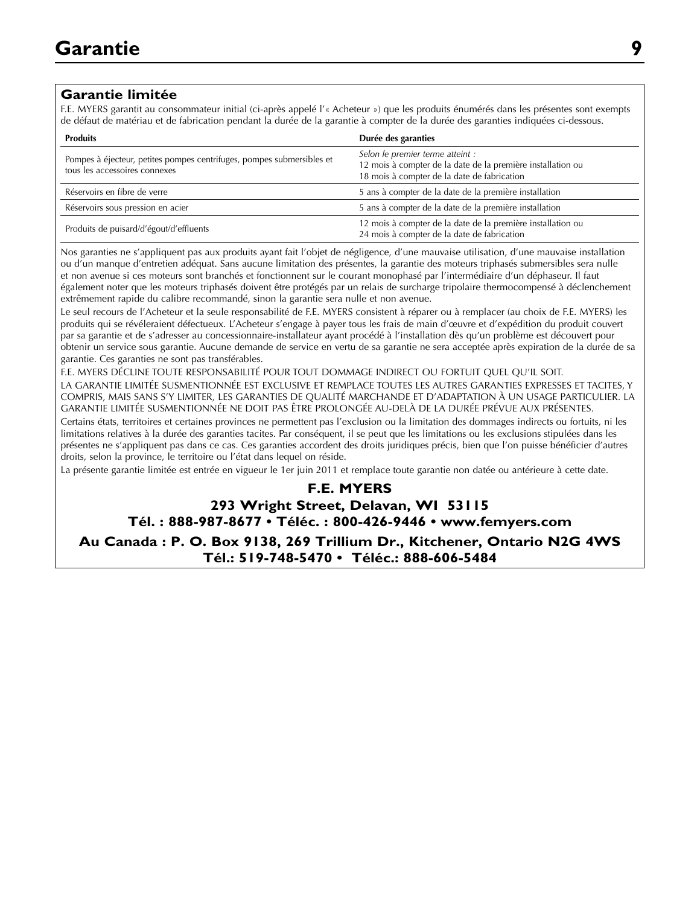#### **Garantie limitée**

F.E. MYERS garantit au consommateur initial (ci-après appelé l'« Acheteur ») que les produits énumérés dans les présentes sont exempts de défaut de matériau et de fabrication pendant la durée de la garantie à compter de la durée des garanties indiquées ci-dessous.

| <b>Produits</b>                                                                                        | Durée des garanties                                                                                                                            |
|--------------------------------------------------------------------------------------------------------|------------------------------------------------------------------------------------------------------------------------------------------------|
| Pompes à éjecteur, petites pompes centrifuges, pompes submersibles et<br>tous les accessoires connexes | Selon le premier terme atteint :<br>12 mois à compter de la date de la première installation ou<br>18 mois à compter de la date de fabrication |
| Réservoirs en fibre de verre                                                                           | 5 ans à compter de la date de la première installation                                                                                         |
| Réservoirs sous pression en acier                                                                      | 5 ans à compter de la date de la première installation                                                                                         |
| Produits de puisard/d'égout/d'effluents                                                                | 12 mois à compter de la date de la première installation ou<br>24 mois à compter de la date de fabrication                                     |

Nos garanties ne s'appliquent pas aux produits ayant fait l'objet de négligence, d'une mauvaise utilisation, d'une mauvaise installation ou d'un manque d'entretien adéquat. Sans aucune limitation des présentes, la garantie des moteurs triphasés submersibles sera nulle et non avenue si ces moteurs sont branchés et fonctionnent sur le courant monophasé par l'intermédiaire d'un déphaseur. Il faut également noter que les moteurs triphasés doivent être protégés par un relais de surcharge tripolaire thermocompensé à déclenchement extrêmement rapide du calibre recommandé, sinon la garantie sera nulle et non avenue.

Le seul recours de l'Acheteur et la seule responsabilité de F.E. MYERS consistent à réparer ou à remplacer (au choix de F.E. MYERS) les produits qui se révéleraient défectueux. L'Acheteur s'engage à payer tous les frais de main d'œuvre et d'expédition du produit couvert par sa garantie et de s'adresser au concessionnaire-installateur ayant procédé à l'installation dès qu'un problème est découvert pour obtenir un service sous garantie. Aucune demande de service en vertu de sa garantie ne sera acceptée après expiration de la durée de sa garantie. Ces garanties ne sont pas transférables.

F.E. MYERS DÉCLINE TOUTE RESPONSABILITÉ POUR TOUT DOMMAGE INDIRECT OU FORTUIT QUEL QU'IL SOIT. LA GARANTIE LIMITÉE SUSMENTIONNÉE EST EXCLUSIVE ET REMPLACE TOUTES LES AUTRES GARANTIES EXPRESSES ET TACITES, Y COMPRIS, MAIS SANS S'Y LIMITER, LES GARANTIES DE QUALITÉ MARCHANDE ET D'ADAPTATION À UN USAGE PARTICULIER. LA GARANTIE LIMITÉE SUSMENTIONNÉE NE DOIT PAS ÊTRE PROLONGÉE AU-DELÀ DE LA DURÉE PRÉVUE AUX PRÉSENTES. Certains états, territoires et certaines provinces ne permettent pas l'exclusion ou la limitation des dommages indirects ou fortuits, ni les limitations relatives à la durée des garanties tacites. Par conséquent, il se peut que les limitations ou les exclusions stipulées dans les présentes ne s'appliquent pas dans ce cas. Ces garanties accordent des droits juridiques précis, bien que l'on puisse bénéficier d'autres droits, selon la province, le territoire ou l'état dans lequel on réside.

La présente garantie limitée est entrée en vigueur le 1er juin 2011 et remplace toute garantie non datée ou antérieure à cette date.

### **F.E. MYERS 293 Wright Street, Delavan, WI 53115 Tél. : 888-987-8677 • Téléc. : 800-426-9446 • www.femyers.com**

**Au Canada : P. O. Box 9138, 269 Trillium Dr., Kitchener, Ontario N2G 4WS Tél.: 519-748-5470 • Téléc.: 888-606-5484**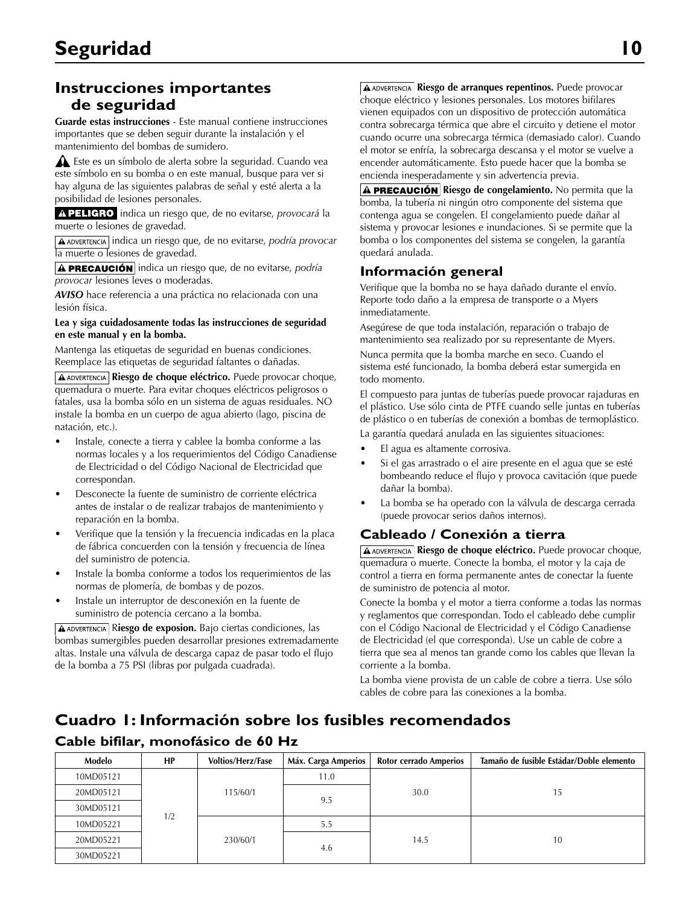### **Instrucciones importantes de seguridad**

**Guarde estas instrucciones** - Este manual contiene instrucciones importantes que se deben seguir durante la instalación y el mantenimiento del bombas de sumidero.

 Este es un símbolo de alerta sobre la seguridad. Cuando vea este símbolo en su bomba o en este manual, busque para ver si hay alguna de las siguientes palabras de señal y esté alerta a la posibilidad de lesiones personales.

A PELIGRO indica un riesgo que, de no evitarse, *provocará* la muerte o lesiones de gravedad.

**A ADVERTENCIA** indica un riesgo que, de no evitarse, *podría provocar* la muerte o lesiones de gravedad.

**A PRECAUCIÓN** indica un riesgo que, de no evitarse, *podría provocar* lesiones leves o moderadas.

*AVISO* hace referencia a una práctica no relacionada con una lesión física.

#### **Lea y siga cuidadosamente todas las instrucciones de seguridad en este manual y en la bomba.**

Mantenga las etiquetas de seguridad en buenas condiciones. Reemplace las etiquetas de seguridad faltantes o dañadas.

**Riesgo de choque eléctrico.** Puede provocar choque, quemadura o muerte. Para evitar choques eléctricos peligrosos o fatales, usa la bomba sólo en un sistema de aguas residuales. NO instale la bomba en un cuerpo de agua abierto (lago, piscina de natación, etc.).

- • Instale, conecte a tierra y cablee la bomba conforme a las normas locales y a los requerimientos del Código Canadiense de Electricidad o del Código Nacional de Electricidad que correspondan.
- Desconecte la fuente de suministro de corriente eléctrica antes de instalar o de realizar trabajos de mantenimiento y reparación en la bomba.
- Verifique que la tensión y la frecuencia indicadas en la placa de fábrica concuerden con la tensión y frecuencia de línea del suministro de potencia.
- Instale la bomba conforme a todos los requerimientos de las normas de plomería, de bombas y de pozos.
- Instale un interruptor de desconexión en la fuente de suministro de potencia cercano a la bomba.

**A ADVERTENCIA** Riesgo de exposion. Bajo ciertas condiciones, las bombas sumergibles pueden desarrollar presiones extremadamente altas. Instale una válvula de descarga capaz de pasar todo el flujo de la bomba a 75 PSI (libras por pulgada cuadrada).

**A ADVERTENCIA** Riesgo de arranques repentinos. Puede provocar choque eléctrico y lesiones personales. Los motores bifilares vienen equipados con un dispositivo de protección automática contra sobrecarga térmica que abre el circuito y detiene el motor cuando ocurre una sobrecarga térmica (demasiado calor). Cuando el motor se enfría, la sobrecarga descansa y el motor se vuelve a encender automáticamente. Esto puede hacer que la bomba se encienda inesperadamente y sin advertencia previa.

**A PRECAUCIÓN** Riesgo de congelamiento. No permita que la bomba, la tubería ni ningún otro componente del sistema que contenga agua se congelen. El congelamiento puede dañar al sistema y provocar lesiones e inundaciones. Si se permite que la bomba o los componentes del sistema se congelen, la garantía quedará anulada.

#### **Información general**

Verifique que la bomba no se haya dañado durante el envío. Reporte todo daño a la empresa de transporte o a Myers inmediatamente.

Asegúrese de que toda instalación, reparación o trabajo de mantenimiento sea realizado por su representante de Myers.

Nunca permita que la bomba marche en seco. Cuando el sistema esté funcionado, la bomba deberá estar sumergida en todo momento.

El compuesto para juntas de tuberías puede provocar rajaduras en el plástico. Use sólo cinta de PTFE cuando selle juntas en tuberías de plástico o en tuberías de conexión a bombas de termoplástico. La garantía quedará anulada en las siguientes situaciones:

- El agua es altamente corrosiva.
- Si el gas arrastrado o el aire presente en el agua que se esté bombeando reduce el flujo y provoca cavitación (que puede dañar la bomba).
- La bomba se ha operado con la válvula de descarga cerrada (puede provocar serios daños internos).

### **Cableado / Conexión a tierra**

**A ADVERTENCIA** Riesgo de choque eléctrico. Puede provocar choque, quemadura o muerte. Conecte la bomba, el motor y la caja de control a tierra en forma permanente antes de conectar la fuente de suministro de potencia al motor.

Conecte la bomba y el motor a tierra conforme a todas las normas y reglamentos que correspondan. Todo el cableado debe cumplir con el Código Nacional de Electricidad y el Código Canadiense de Electricidad (el que corresponda). Use un cable de cobre a tierra que sea al menos tan grande como los cables que llevan la corriente a la bomba.

La bomba viene provista de un cable de cobre a tierra. Use sólo cables de cobre para las conexiones a la bomba.

### **Cuadro 1: Información sobre los fusibles recomendados**

#### **Modelo HP Voltios/Herz/Fase Máx. Carga Amperios Rotor cerrado Amperios Tamaño de fusible Estádar/Doble elemento** 10MD05121  $1/2$ 115/60/1 11.0 20MD05121 | 115/60/1 | 20MD05121 | 15 9.5 30MD05121 10MD05221 230/60/1 5.5 20MD05221 | 230/60/1 | 230/60/1 | 14.5 | 10 4.6 30MD05221

### **Cable bifilar, monofásico de 60 Hz**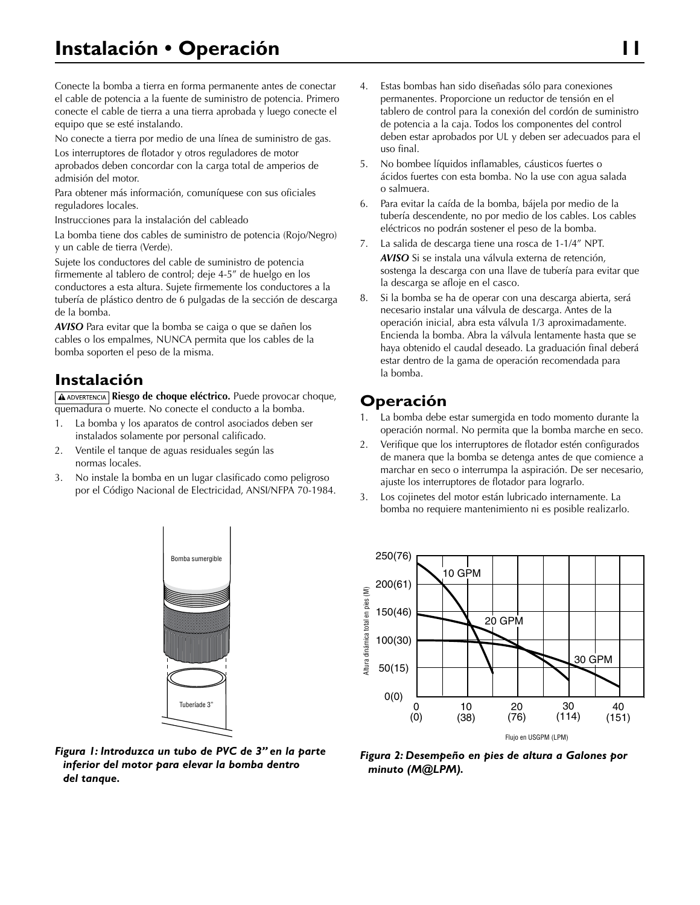Conecte la bomba a tierra en forma permanente antes de conectar el cable de potencia a la fuente de suministro de potencia. Primero conecte el cable de tierra a una tierra aprobada y luego conecte el equipo que se esté instalando.

No conecte a tierra por medio de una línea de suministro de gas.

Los interruptores de flotador y otros reguladores de motor aprobados deben concordar con la carga total de amperios de admisión del motor.

Para obtener más información, comuníquese con sus oficiales reguladores locales.

Instrucciones para la instalación del cableado

La bomba tiene dos cables de suministro de potencia (Rojo/Negro) y un cable de tierra (Verde).

Sujete los conductores del cable de suministro de potencia firmemente al tablero de control; deje 4-5" de huelgo en los conductores a esta altura. Sujete firmemente los conductores a la tubería de plástico dentro de 6 pulgadas de la sección de descarga de la bomba.

*AVISO* Para evitar que la bomba se caiga o que se dañen los cables o los empalmes, NUNCA permita que los cables de la bomba soporten el peso de la misma.

### **Instalación**

**A ADVERTENCIA** Riesgo de choque eléctrico. Puede provocar choque, quemadura o muerte. No conecte el conducto a la bomba.

- 1. La bomba y los aparatos de control asociados deben ser instalados solamente por personal calificado.
- 2. Ventile el tanque de aguas residuales según las normas locales.
- 3. No instale la bomba en un lugar clasificado como peligroso por el Código Nacional de Electricidad, ANSI/NFPA 70-1984.

Bomba sumergible nua barnorg

- 4. Estas bombas han sido diseñadas sólo para conexiones permanentes. Proporcione un reductor de tensión en el tablero de control para la conexión del cordón de suministro de potencia a la caja. Todos los componentes del control deben estar aprobados por UL y deben ser adecuados para el uso final.
- 5. No bombee líquidos inflamables, cáusticos fuertes o ácidos fuertes con esta bomba. No la use con agua salada o salmuera.
- 6. Para evitar la caída de la bomba, bájela por medio de la tubería descendente, no por medio de los cables. Los cables eléctricos no podrán sostener el peso de la bomba.
- 7. La salida de descarga tiene una rosca de 1-1/4" NPT. *AVISO* Si se instala una válvula externa de retención, sostenga la descarga con una llave de tubería para evitar que la descarga se afloje en el casco.
- 8. Si la bomba se ha de operar con una descarga abierta, será necesario instalar una válvula de descarga. Antes de la operación inicial, abra esta válvula 1/3 aproximadamente. Encienda la bomba. Abra la válvula lentamente hasta que se haya obtenido el caudal deseado. La graduación final deberá estar dentro de la gama de operación recomendada para la bomba.

### **Operación**

- 1. La bomba debe estar sumergida en todo momento durante la operación normal. No permita que la bomba marche en seco.
- 2. Verifique que los interruptores de flotador estén configurados de manera que la bomba se detenga antes de que comience a marchar en seco o interrumpa la aspiración. De ser necesario, ajuste los interruptores de flotador para lograrlo.
- 3. Los cojinetes del motor están lubricado internamente. La bomba no requiere mantenimiento ni es posible realizarlo.





## 4134 0202 *Figura 1: Introduzca un tubo de PVC de 3" en la parte inferior del motor para elevar la bomba dentro del tanque.*

Tuberíade 3"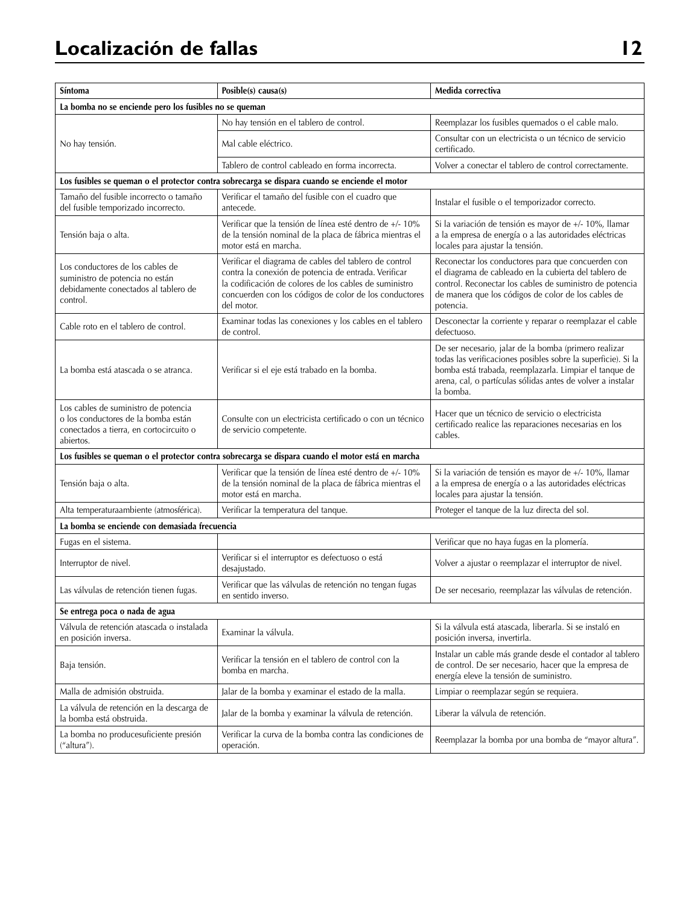| Síntoma                                                                                                                             | Posible(s) causa(s)                                                                                                                                                                                                                              | Medida correctiva                                                                                                                                                                                                                                            |  |  |
|-------------------------------------------------------------------------------------------------------------------------------------|--------------------------------------------------------------------------------------------------------------------------------------------------------------------------------------------------------------------------------------------------|--------------------------------------------------------------------------------------------------------------------------------------------------------------------------------------------------------------------------------------------------------------|--|--|
| La bomba no se enciende pero los fusibles no se queman                                                                              |                                                                                                                                                                                                                                                  |                                                                                                                                                                                                                                                              |  |  |
|                                                                                                                                     | No hay tensión en el tablero de control.                                                                                                                                                                                                         | Reemplazar los fusibles quemados o el cable malo.                                                                                                                                                                                                            |  |  |
| No hay tensión.                                                                                                                     | Mal cable eléctrico.                                                                                                                                                                                                                             | Consultar con un electricista o un técnico de servicio<br>certificado.                                                                                                                                                                                       |  |  |
|                                                                                                                                     | Tablero de control cableado en forma incorrecta.                                                                                                                                                                                                 | Volver a conectar el tablero de control correctamente.                                                                                                                                                                                                       |  |  |
|                                                                                                                                     | Los fusibles se queman o el protector contra sobrecarga se dispara cuando se enciende el motor                                                                                                                                                   |                                                                                                                                                                                                                                                              |  |  |
| Tamaño del fusible incorrecto o tamaño<br>del fusible temporizado incorrecto.                                                       | Verificar el tamaño del fusible con el cuadro que<br>antecede.                                                                                                                                                                                   | Instalar el fusible o el temporizador correcto.                                                                                                                                                                                                              |  |  |
| Tensión baja o alta.                                                                                                                | Verificar que la tensión de línea esté dentro de +/- 10%<br>de la tensión nominal de la placa de fábrica mientras el<br>motor está en marcha.                                                                                                    | Si la variación de tensión es mayor de +/- 10%, llamar<br>a la empresa de energía o a las autoridades eléctricas<br>locales para ajustar la tensión.                                                                                                         |  |  |
| Los conductores de los cables de<br>suministro de potencia no están<br>debidamente conectados al tablero de<br>control.             | Verificar el diagrama de cables del tablero de control<br>contra la conexión de potencia de entrada. Verificar<br>la codificación de colores de los cables de suministro<br>concuerden con los códigos de color de los conductores<br>del motor. | Reconectar los conductores para que concuerden con<br>el diagrama de cableado en la cubierta del tablero de<br>control. Reconectar los cables de suministro de potencia<br>de manera que los códigos de color de los cables de<br>potencia.                  |  |  |
| Cable roto en el tablero de control.                                                                                                | Examinar todas las conexiones y los cables en el tablero<br>de control.                                                                                                                                                                          | Desconectar la corriente y reparar o reemplazar el cable<br>defectuoso.                                                                                                                                                                                      |  |  |
| La bomba está atascada o se atranca.                                                                                                | Verificar si el eje está trabado en la bomba.                                                                                                                                                                                                    | De ser necesario, jalar de la bomba (primero realizar<br>todas las verificaciones posibles sobre la superficie). Si la<br>bomba está trabada, reemplazarla. Limpiar el tanque de<br>arena, cal, o partículas sólidas antes de volver a instalar<br>la bomba. |  |  |
| Los cables de suministro de potencia<br>o los conductores de la bomba están<br>conectados a tierra, en cortocircuito o<br>abiertos. | Consulte con un electricista certificado o con un técnico<br>de servicio competente.                                                                                                                                                             | Hacer que un técnico de servicio o electricista<br>certificado realice las reparaciones necesarias en los<br>cables.                                                                                                                                         |  |  |
|                                                                                                                                     | Los fusibles se queman o el protector contra sobrecarga se dispara cuando el motor está en marcha                                                                                                                                                |                                                                                                                                                                                                                                                              |  |  |
| Tensión baja o alta.                                                                                                                | Verificar que la tensión de línea esté dentro de +/- 10%<br>de la tensión nominal de la placa de fábrica mientras el<br>motor está en marcha.                                                                                                    | Si la variación de tensión es mayor de +/- 10%, llamar<br>a la empresa de energía o a las autoridades eléctricas<br>locales para ajustar la tensión.                                                                                                         |  |  |
| Alta temperaturaambiente (atmosférica).                                                                                             | Verificar la temperatura del tanque.                                                                                                                                                                                                             | Proteger el tanque de la luz directa del sol.                                                                                                                                                                                                                |  |  |
| La bomba se enciende con demasiada frecuencia                                                                                       |                                                                                                                                                                                                                                                  |                                                                                                                                                                                                                                                              |  |  |
| Fugas en el sistema.                                                                                                                |                                                                                                                                                                                                                                                  | Verificar que no haya fugas en la plomería.                                                                                                                                                                                                                  |  |  |
| Interruptor de nivel.                                                                                                               | Verificar si el interruptor es defectuoso o está<br>desajustado.                                                                                                                                                                                 | Volver a ajustar o reemplazar el interruptor de nivel.                                                                                                                                                                                                       |  |  |
| Las válvulas de retención tienen fugas.                                                                                             | Verificar que las válvulas de retención no tengan fugas<br>en sentido inverso.                                                                                                                                                                   | De ser necesario, reemplazar las válvulas de retención.                                                                                                                                                                                                      |  |  |
| Se entrega poca o nada de agua                                                                                                      |                                                                                                                                                                                                                                                  |                                                                                                                                                                                                                                                              |  |  |
| Válvula de retención atascada o instalada<br>en posición inversa.                                                                   | Examinar la válvula.                                                                                                                                                                                                                             | Si la válvula está atascada, liberarla. Si se instaló en<br>posición inversa, invertirla.                                                                                                                                                                    |  |  |
| Baja tensión.                                                                                                                       | Verificar la tensión en el tablero de control con la<br>bomba en marcha.                                                                                                                                                                         | Instalar un cable más grande desde el contador al tablero<br>de control. De ser necesario, hacer que la empresa de<br>energía eleve la tensión de suministro.                                                                                                |  |  |
| Malla de admisión obstruida.                                                                                                        | Jalar de la bomba y examinar el estado de la malla.                                                                                                                                                                                              | Limpiar o reemplazar según se requiera.                                                                                                                                                                                                                      |  |  |
| La válvula de retención en la descarga de<br>la bomba está obstruida.                                                               | Jalar de la bomba y examinar la válvula de retención.                                                                                                                                                                                            | Liberar la válvula de retención.                                                                                                                                                                                                                             |  |  |
| La bomba no producesuficiente presión<br>("altura").                                                                                | Verificar la curva de la bomba contra las condiciones de<br>operación.                                                                                                                                                                           | Reemplazar la bomba por una bomba de "mayor altura".                                                                                                                                                                                                         |  |  |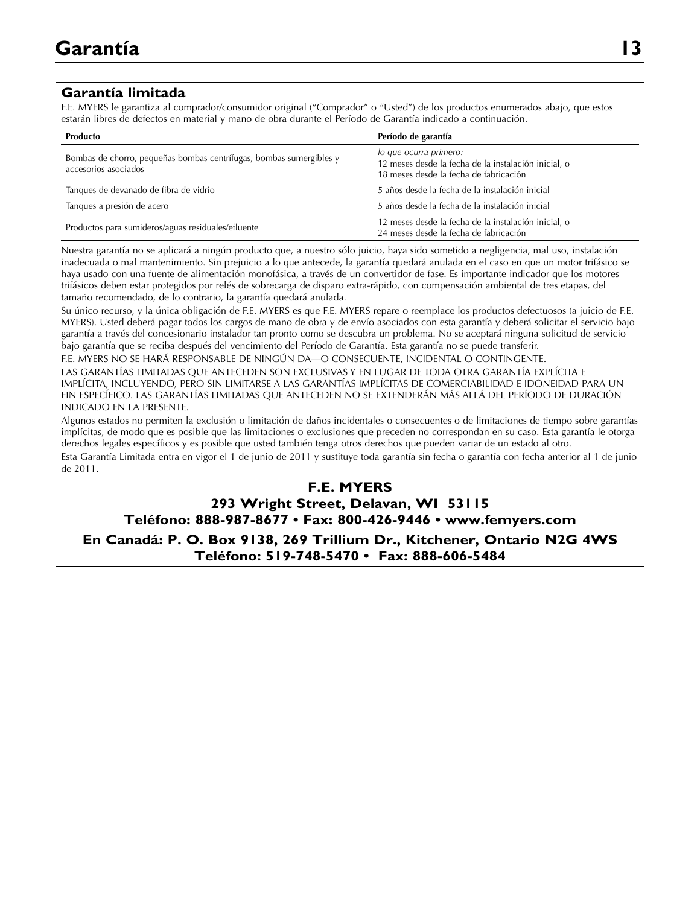#### **Garantía limitada**

F.E. MYERS le garantiza al comprador/consumidor original ("Comprador" o "Usted") de los productos enumerados abajo, que estos estarán libres de defectos en material y mano de obra durante el Período de Garantía indicado a continuación.

| <b>Producto</b>                                                                             | Período de garantía                                                                                                      |
|---------------------------------------------------------------------------------------------|--------------------------------------------------------------------------------------------------------------------------|
| Bombas de chorro, pequeñas bombas centrífugas, bombas sumergibles y<br>accesorios asociados | lo que ocurra primero:<br>12 meses desde la fecha de la instalación inicial, o<br>18 meses desde la fecha de fabricación |
| Tangues de devanado de fibra de vidrio                                                      | 5 años desde la fecha de la instalación inicial                                                                          |
| Tanques a presión de acero                                                                  | 5 años desde la fecha de la instalación inicial                                                                          |
| Productos para sumideros/aguas residuales/efluente                                          | 12 meses desde la fecha de la instalación inicial, o<br>24 meses desde la fecha de fabricación                           |

Nuestra garantía no se aplicará a ningún producto que, a nuestro sólo juicio, haya sido sometido a negligencia, mal uso, instalación inadecuada o mal mantenimiento. Sin prejuicio a lo que antecede, la garantía quedará anulada en el caso en que un motor trifásico se haya usado con una fuente de alimentación monofásica, a través de un convertidor de fase. Es importante indicador que los motores trifásicos deben estar protegidos por relés de sobrecarga de disparo extra-rápido, con compensación ambiental de tres etapas, del tamaño recomendado, de lo contrario, la garantía quedará anulada.

Su único recurso, y la única obligación de F.E. MYERS es que F.E. MYERS repare o reemplace los productos defectuosos (a juicio de F.E. MYERS). Usted deberá pagar todos los cargos de mano de obra y de envío asociados con esta garantía y deberá solicitar el servicio bajo garantía a través del concesionario instalador tan pronto como se descubra un problema. No se aceptará ninguna solicitud de servicio bajo garantía que se reciba después del vencimiento del Período de Garantía. Esta garantía no se puede transferir.

F.E. MYERS NO SE HARÁ RESPONSABLE DE NINGÚN DA—O CONSECUENTE, INCIDENTAL O CONTINGENTE. LAS GARANTÍAS LIMITADAS QUE ANTECEDEN SON EXCLUSIVAS Y EN LUGAR DE TODA OTRA GARANTÍA EXPLÍCITA E

IMPLÍCITA, INCLUYENDO, PERO SIN LIMITARSE A LAS GARANTÍAS IMPLÍCITAS DE COMERCIABILIDAD E IDONEIDAD PARA UN FIN ESPECÍFICO. LAS GARANTÍAS LIMITADAS QUE ANTECEDEN NO SE EXTENDERÁN MÁS ALLÁ DEL PERÍODO DE DURACIÓN INDICADO EN LA PRESENTE.

Algunos estados no permiten la exclusión o limitación de daños incidentales o consecuentes o de limitaciones de tiempo sobre garantías implícitas, de modo que es posible que las limitaciones o exclusiones que preceden no correspondan en su caso. Esta garantía le otorga derechos legales específicos y es posible que usted también tenga otros derechos que pueden variar de un estado al otro.

Esta Garantía Limitada entra en vigor el 1 de junio de 2011 y sustituye toda garantía sin fecha o garantía con fecha anterior al 1 de junio de 2011.

#### **F.E. MYERS**

### **293 Wright Street, Delavan, WI 53115**

**Teléfono: 888-987-8677 • Fax: 800-426-9446 • www.femyers.com**

**En Canadá: P. O. Box 9138, 269 Trillium Dr., Kitchener, Ontario N2G 4WS Teléfono: 519-748-5470 • Fax: 888-606-5484**